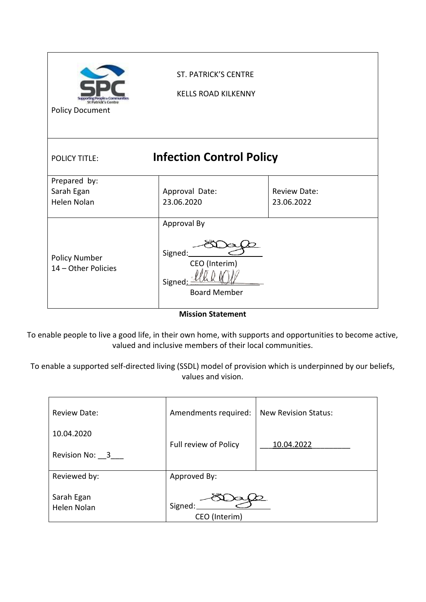| <b>Policy Document</b>                      | <b>ST. PATRICK'S CENTRE</b><br><b>KELLS ROAD KILKENNY</b>                |                                   |
|---------------------------------------------|--------------------------------------------------------------------------|-----------------------------------|
| <b>POLICY TITLE:</b>                        | <b>Infection Control Policy</b>                                          |                                   |
| Prepared by:<br>Sarah Egan<br>Helen Nolan   | Approval Date:<br>23.06.2020                                             | <b>Review Date:</b><br>23.06.2022 |
| <b>Policy Number</b><br>14 - Other Policies | Approval By<br>Signed:<br>CEO (Interim)<br>Signed<br><b>Board Member</b> |                                   |

**Mission Statement**

To enable people to live a good life, in their own home, with supports and opportunities to become active, valued and inclusive members of their local communities.

To enable a supported self-directed living (SSDL) model of provision which is underpinned by our beliefs, values and vision.

| <b>Review Date:</b>       | Amendments required:     | <b>New Revision Status:</b> |
|---------------------------|--------------------------|-----------------------------|
| 10.04.2020                |                          |                             |
| Revision No: 3            | Full review of Policy    | 10.04.2022                  |
| Reviewed by:              | Approved By:             |                             |
| Sarah Egan<br>Helen Nolan | Signed:<br>CEO (Interim) |                             |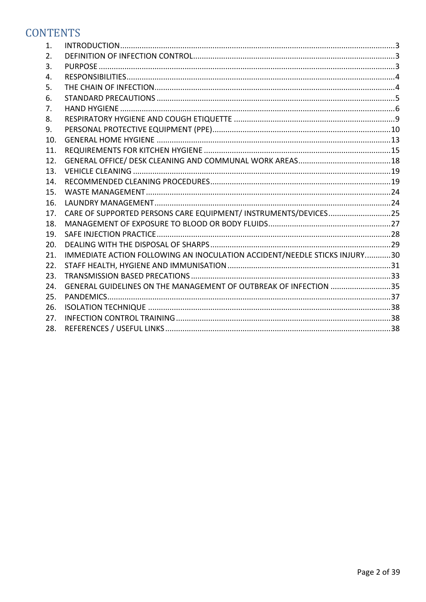# **CONTENTS**

| 1.  |                                                                           |  |
|-----|---------------------------------------------------------------------------|--|
| 2.  |                                                                           |  |
| 3.  |                                                                           |  |
| 4.  |                                                                           |  |
| 5.  |                                                                           |  |
| 6.  |                                                                           |  |
| 7.  |                                                                           |  |
| 8.  |                                                                           |  |
| 9.  |                                                                           |  |
| 10. |                                                                           |  |
| 11. |                                                                           |  |
| 12. |                                                                           |  |
| 13. |                                                                           |  |
| 14. |                                                                           |  |
| 15. |                                                                           |  |
| 16. |                                                                           |  |
| 17. | CARE OF SUPPORTED PERSONS CARE EQUIPMENT/ INSTRUMENTS/DEVICES25           |  |
| 18. |                                                                           |  |
| 19. |                                                                           |  |
| 20. |                                                                           |  |
| 21. | IMMEDIATE ACTION FOLLOWING AN INOCULATION ACCIDENT/NEEDLE STICKS INJURY30 |  |
| 22. |                                                                           |  |
| 23. |                                                                           |  |
| 24. | GENERAL GUIDELINES ON THE MANAGEMENT OF OUTBREAK OF INFECTION 35          |  |
| 25. |                                                                           |  |
| 26. |                                                                           |  |
| 27. |                                                                           |  |
| 28. |                                                                           |  |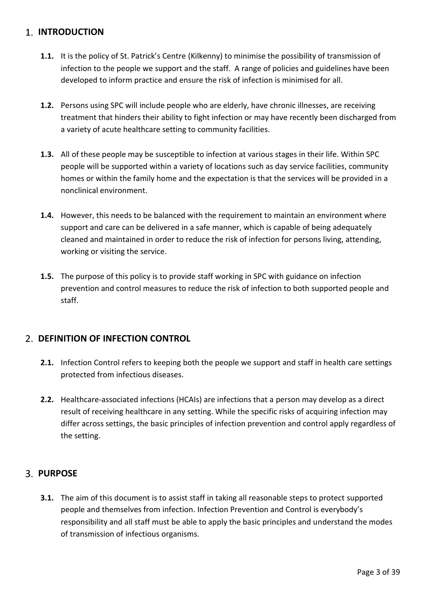# <span id="page-2-0"></span>**1. INTRODUCTION**

- **1.1.** It is the policy of St. Patrick's Centre (Kilkenny) to minimise the possibility of transmission of infection to the people we support and the staff. A range of policies and guidelines have been developed to inform practice and ensure the risk of infection is minimised for all.
- **1.2.** Persons using SPC will include people who are elderly, have chronic illnesses, are receiving treatment that hinders their ability to fight infection or may have recently been discharged from a variety of acute healthcare setting to community facilities.
- **1.3.** All of these people may be susceptible to infection at various stages in their life. Within SPC people will be supported within a variety of locations such as day service facilities, community homes or within the family home and the expectation is that the services will be provided in a nonclinical environment.
- **1.4.** However, this needs to be balanced with the requirement to maintain an environment where support and care can be delivered in a safe manner, which is capable of being adequately cleaned and maintained in order to reduce the risk of infection for persons living, attending, working or visiting the service.
- **1.5.** The purpose of this policy is to provide staff working in SPC with guidance on infection prevention and control measures to reduce the risk of infection to both supported people and staff.

# <span id="page-2-1"></span>**DEFINITION OF INFECTION CONTROL**

- **2.1.** Infection Control refers to keeping both the people we support and staff in health care settings protected from infectious diseases.
- **2.2.** Healthcare-associated infections (HCAIs) are infections that a person may develop as a direct result of receiving healthcare in any setting. While the specific risks of acquiring infection may differ across settings, the basic principles of infection prevention and control apply regardless of the setting.

### <span id="page-2-2"></span>**PURPOSE**

**3.1.** The aim of this document is to assist staff in taking all reasonable steps to protect supported people and themselves from infection. Infection Prevention and Control is everybody's responsibility and all staff must be able to apply the basic principles and understand the modes of transmission of infectious organisms.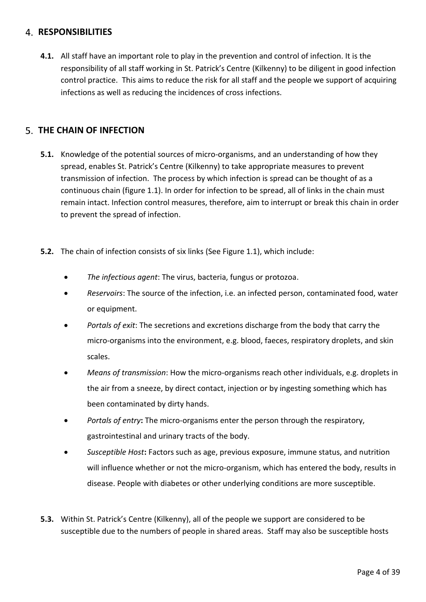### <span id="page-3-0"></span>**RESPONSIBILITIES**

**4.1.** All staff have an important role to play in the prevention and control of infection. It is the responsibility of all staff working in St. Patrick's Centre (Kilkenny) to be diligent in good infection control practice. This aims to reduce the risk for all staff and the people we support of acquiring infections as well as reducing the incidences of cross infections.

# <span id="page-3-1"></span>**THE CHAIN OF INFECTION**

- **5.1.** Knowledge of the potential sources of micro-organisms, and an understanding of how they spread, enables St. Patrick's Centre (Kilkenny) to take appropriate measures to prevent transmission of infection. The process by which infection is spread can be thought of as a continuous chain (figure 1.1). In order for infection to be spread, all of links in the chain must remain intact. Infection control measures, therefore, aim to interrupt or break this chain in order to prevent the spread of infection.
- **5.2.** The chain of infection consists of six links (See Figure 1.1), which include:
	- *The infectious agent*: The virus, bacteria, fungus or protozoa.
	- *Reservoirs*: The source of the infection, i.e. an infected person, contaminated food, water or equipment.
	- *Portals of exit*: The secretions and excretions discharge from the body that carry the micro-organisms into the environment, e.g. blood, faeces, respiratory droplets, and skin scales.
	- *Means of transmission*: How the micro-organisms reach other individuals, e.g. droplets in the air from a sneeze, by direct contact, injection or by ingesting something which has been contaminated by dirty hands.
	- *Portals of entry***:** The micro-organisms enter the person through the respiratory, gastrointestinal and urinary tracts of the body.
	- *Susceptible Host***:** Factors such as age, previous exposure, immune status, and nutrition will influence whether or not the micro-organism, which has entered the body, results in disease. People with diabetes or other underlying conditions are more susceptible.
- **5.3.** Within St. Patrick's Centre (Kilkenny), all of the people we support are considered to be susceptible due to the numbers of people in shared areas. Staff may also be susceptible hosts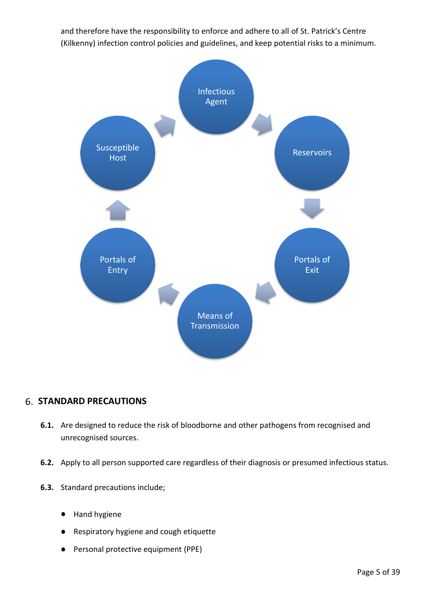and therefore have the responsibility to enforce and adhere to all of St. Patrick's Centre (Kilkenny) infection control policies and guidelines, and keep potential risks to a minimum.



### <span id="page-4-0"></span>**STANDARD PRECAUTIONS**

- **6.1.** Are designed to reduce the risk of bloodborne and other pathogens from recognised and unrecognised sources.
- **6.2.** Apply to all person supported care regardless of their diagnosis or presumed infectious status.
- **6.3.** Standard precautions include;
	- Hand hygiene
	- Respiratory hygiene and cough etiquette
	- Personal protective equipment (PPE)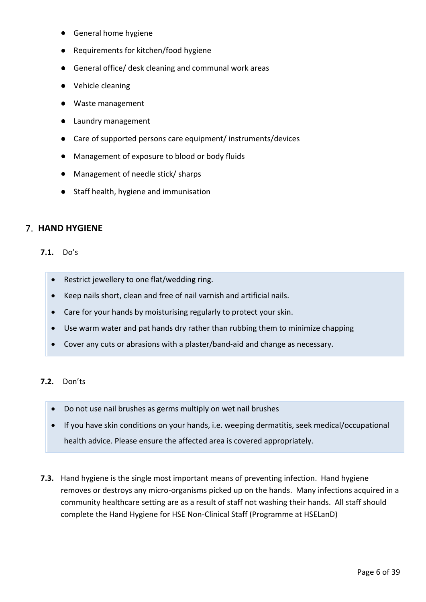- General home hygiene
- **Requirements for kitchen/food hygiene**
- General office/ desk cleaning and communal work areas
- Vehicle cleaning
- Waste management
- Laundry management
- Care of supported persons care equipment/ instruments/devices
- Management of exposure to blood or body fluids
- Management of needle stick/ sharps
- Staff health, hygiene and immunisation

### <span id="page-5-0"></span>**7. HAND HYGIENE**

#### **7.1.** Do's

- Restrict jewellery to one flat/wedding ring.
- Keep nails short, clean and free of nail varnish and artificial nails.
- Care for your hands by moisturising regularly to protect your skin.
- Use warm water and pat hands dry rather than rubbing them to minimize chapping
- Cover any cuts or abrasions with a plaster/band-aid and change as necessary.

#### **7.2.** Don'ts

- Do not use nail brushes as germs multiply on wet nail brushes
- If you have skin conditions on your hands, i.e. weeping dermatitis, seek medical/occupational health advice. Please ensure the affected area is covered appropriately.
- **7.3.** Hand hygiene is the single most important means of preventing infection. Hand hygiene removes or destroys any micro-organisms picked up on the hands. Many infections acquired in a community healthcare setting are as a result of staff not washing their hands. All staff should complete the Hand Hygiene for HSE Non-Clinical Staff (Programme at HSELanD)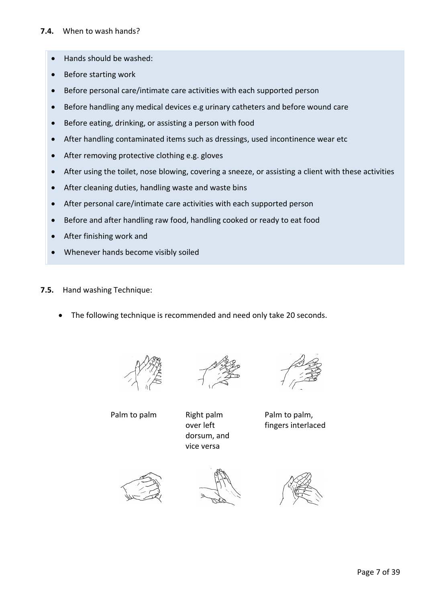- Hands should be washed:
- Before starting work
- Before personal care/intimate care activities with each supported person
- Before handling any medical devices e.g urinary catheters and before wound care
- Before eating, drinking, or assisting a person with food
- After handling contaminated items such as dressings, used incontinence wear etc
- After removing protective clothing e.g. gloves
- After using the toilet, nose blowing, covering a sneeze, or assisting a client with these activities
- After cleaning duties, handling waste and waste bins
- After personal care/intimate care activities with each supported person
- Before and after handling raw food, handling cooked or ready to eat food
- After finishing work and
- Whenever hands become visibly soiled
- **7.5.** Hand washing Technique:
	- The following technique is recommended and need only take 20 seconds.





over left dorsum, and vice versa



Palm to palm, fingers interlaced





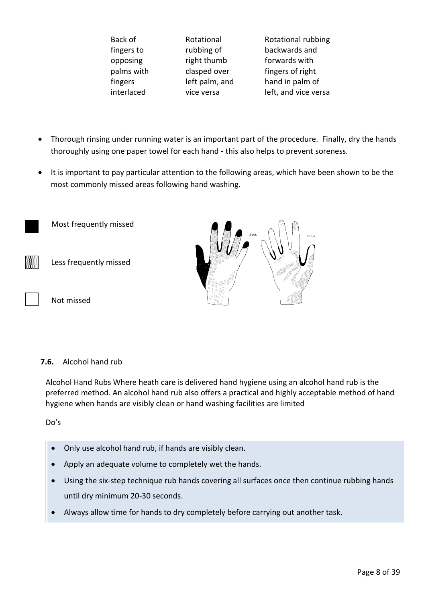| Back of    |
|------------|
| fingers to |
| opposing   |
| palms with |
| fingers    |
| interlaced |

Rotational rubbing of right thumb clasped over left palm, and vice versa

Rotational rubbing backwards and forwards with fingers of right hand in palm of left, and vice versa

- Thorough rinsing under running water is an important part of the procedure. Finally, dry the hands thoroughly using one paper towel for each hand - this also helps to prevent soreness.
- It is important to pay particular attention to the following areas, which have been shown to be the most commonly missed areas following hand washing.



#### **7.6.** Alcohol hand rub

Alcohol Hand Rubs Where heath care is delivered hand hygiene using an alcohol hand rub is the preferred method. An alcohol hand rub also offers a practical and highly acceptable method of hand hygiene when hands are visibly clean or hand washing facilities are limited

Do's

- Only use alcohol hand rub, if hands are visibly clean.
- Apply an adequate volume to completely wet the hands.
- Using the six-step technique rub hands covering all surfaces once then continue rubbing hands until dry minimum 20-30 seconds.
- Always allow time for hands to dry completely before carrying out another task.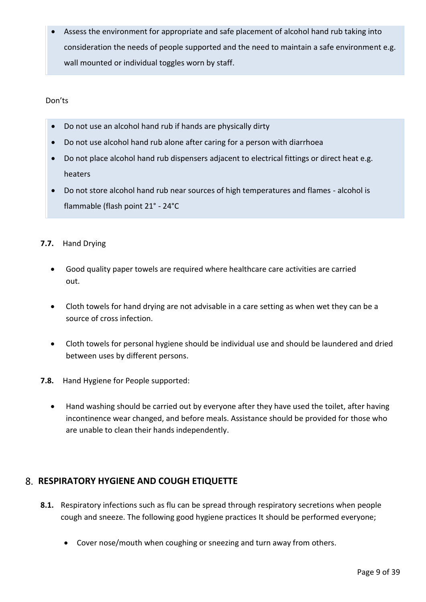• Assess the environment for appropriate and safe placement of alcohol hand rub taking into consideration the needs of people supported and the need to maintain a safe environment e.g. wall mounted or individual toggles worn by staff.

Don'ts

- Do not use an alcohol hand rub if hands are physically dirty
- Do not use alcohol hand rub alone after caring for a person with diarrhoea
- Do not place alcohol hand rub dispensers adjacent to electrical fittings or direct heat e.g. heaters
- Do not store alcohol hand rub near sources of high temperatures and flames alcohol is flammable (flash point 21° - 24°C
- **7.7.** Hand Drying
	- Good quality paper towels are required where healthcare care activities are carried out.
	- Cloth towels for hand drying are not advisable in a care setting as when wet they can be a source of cross infection.
	- Cloth towels for personal hygiene should be individual use and should be laundered and dried between uses by different persons.
- **7.8.** Hand Hygiene for People supported:
	- Hand washing should be carried out by everyone after they have used the toilet, after having incontinence wear changed, and before meals. Assistance should be provided for those who are unable to clean their hands independently.

# <span id="page-8-0"></span>**RESPIRATORY HYGIENE AND COUGH ETIQUETTE**

- **8.1.** Respiratory infections such as flu can be spread through respiratory secretions when people cough and sneeze. The following good hygiene practices It should be performed everyone;
	- Cover nose/mouth when coughing or sneezing and turn away from others.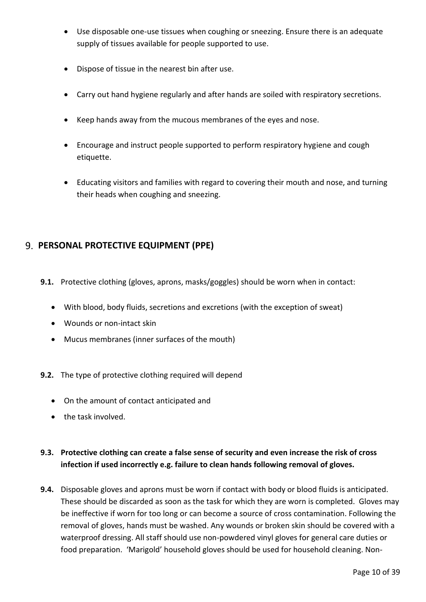- Use disposable one-use tissues when coughing or sneezing. Ensure there is an adequate supply of tissues available for people supported to use.
- Dispose of tissue in the nearest bin after use.
- Carry out hand hygiene regularly and after hands are soiled with respiratory secretions.
- Keep hands away from the mucous membranes of the eyes and nose.
- Encourage and instruct people supported to perform respiratory hygiene and cough etiquette.
- Educating visitors and families with regard to covering their mouth and nose, and turning their heads when coughing and sneezing.

# <span id="page-9-0"></span>**PERSONAL PROTECTIVE EQUIPMENT (PPE)**

- **9.1.** Protective clothing (gloves, aprons, masks/goggles) should be worn when in contact:
	- With blood, body fluids, secretions and excretions (with the exception of sweat)
	- Wounds or non-intact skin
	- Mucus membranes (inner surfaces of the mouth)
- **9.2.** The type of protective clothing required will depend
	- On the amount of contact anticipated and
	- the task involved.

# **9.3. Protective clothing can create a false sense of security and even increase the risk of cross infection if used incorrectly e.g. failure to clean hands following removal of gloves.**

**9.4.** Disposable gloves and aprons must be worn if contact with body or blood fluids is anticipated. These should be discarded as soon as the task for which they are worn is completed. Gloves may be ineffective if worn for too long or can become a source of cross contamination. Following the removal of gloves, hands must be washed. Any wounds or broken skin should be covered with a waterproof dressing. All staff should use non-powdered vinyl gloves for general care duties or food preparation. 'Marigold' household gloves should be used for household cleaning. Non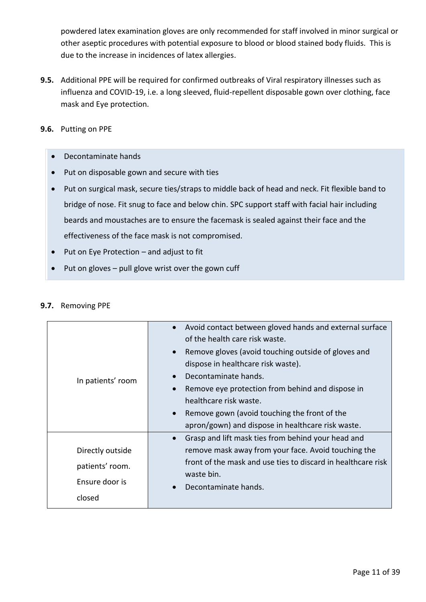powdered latex examination gloves are only recommended for staff involved in minor surgical or other aseptic procedures with potential exposure to blood or blood stained body fluids. This is due to the increase in incidences of latex allergies.

- **9.5.** Additional PPE will be required for confirmed outbreaks of Viral respiratory illnesses such as influenza and COVID-19, i.e. a long sleeved, fluid-repellent disposable gown over clothing, face mask and Eye protection.
- **9.6.** Putting on PPE
	- Decontaminate hands
	- Put on disposable gown and secure with ties
	- Put on surgical mask, secure ties/straps to middle back of head and neck. Fit flexible band to bridge of nose. Fit snug to face and below chin. SPC support staff with facial hair including beards and moustaches are to ensure the facemask is sealed against their face and the effectiveness of the face mask is not compromised.
	- Put on Eye Protection and adjust to fit
	- Put on gloves pull glove wrist over the gown cuff

| In patients' room                                               | Avoid contact between gloved hands and external surface<br>of the health care risk waste.<br>Remove gloves (avoid touching outside of gloves and<br>$\bullet$<br>dispose in healthcare risk waste).<br>Decontaminate hands.<br>Remove eye protection from behind and dispose in<br>healthcare risk waste.<br>Remove gown (avoid touching the front of the<br>apron/gown) and dispose in healthcare risk waste. |  |
|-----------------------------------------------------------------|----------------------------------------------------------------------------------------------------------------------------------------------------------------------------------------------------------------------------------------------------------------------------------------------------------------------------------------------------------------------------------------------------------------|--|
| Directly outside<br>patients' room.<br>Ensure door is<br>closed | Grasp and lift mask ties from behind your head and<br>$\bullet$<br>remove mask away from your face. Avoid touching the<br>front of the mask and use ties to discard in healthcare risk<br>waste bin.<br>Decontaminate hands.                                                                                                                                                                                   |  |

#### **9.7.** Removing PPE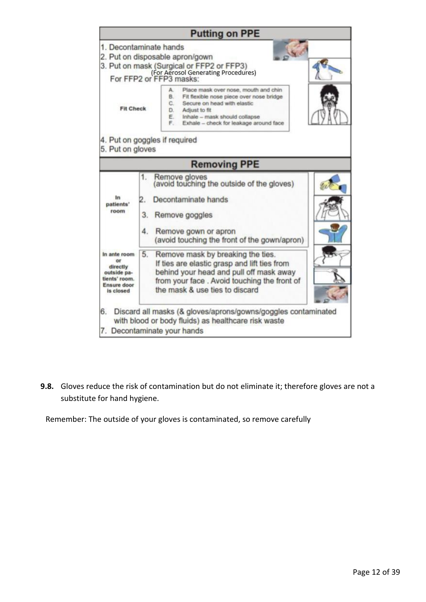|                                                                                                   | <b>Putting on PPE</b>                                                                                                                                                                                                                                  |  |
|---------------------------------------------------------------------------------------------------|--------------------------------------------------------------------------------------------------------------------------------------------------------------------------------------------------------------------------------------------------------|--|
|                                                                                                   | 1. Decontaminate hands                                                                                                                                                                                                                                 |  |
|                                                                                                   | 2. Put on disposable apron/gown                                                                                                                                                                                                                        |  |
|                                                                                                   | 3. Put on mask (Surgical or FFP2 or FFP3)<br>(For Aerosol Generating Procedures)<br>For FFP2 or FFP3 masks:                                                                                                                                            |  |
| <b>Fit Check</b>                                                                                  | A.<br>Place mask over nose, mouth and chin<br><b>B.</b><br>Fit flexible nose piece over nose bridge<br>C.<br>Secure on head with elastic<br>D.<br>Adjust to fit<br>E.<br>Inhale - mask should collapse<br>F.<br>Exhale - check for leakage around face |  |
| 5. Put on gloves                                                                                  | 4. Put on goggles if required                                                                                                                                                                                                                          |  |
|                                                                                                   | <b>Removing PPE</b>                                                                                                                                                                                                                                    |  |
| In<br>patients'<br>room                                                                           | 1.<br>Remove gloves<br>(avoid touching the outside of the gloves)<br>Decontaminate hands<br>2.<br>3.<br>Remove goggles<br>4.<br>Remove gown or apron                                                                                                   |  |
|                                                                                                   | (avoid touching the front of the gown/apron)                                                                                                                                                                                                           |  |
| In ante room<br>öf<br>directly<br>outside pa-<br>tients' room.<br><b>Ensure door</b><br>is closed | 5.<br>Remove mask by breaking the ties.<br>If ties are elastic grasp and lift ties from<br>behind your head and pull off mask away<br>from your face . Avoid touching the front of<br>the mask & use ties to discard                                   |  |
| 6.                                                                                                | Discard all masks (& gloves/aprons/gowns/goggles contaminated<br>with blood or body fluids) as healthcare risk waste<br>7. Decontaminate your hands                                                                                                    |  |

**9.8.** Gloves reduce the risk of contamination but do not eliminate it; therefore gloves are not a substitute for hand hygiene.

Remember: The outside of your gloves is contaminated, so remove carefully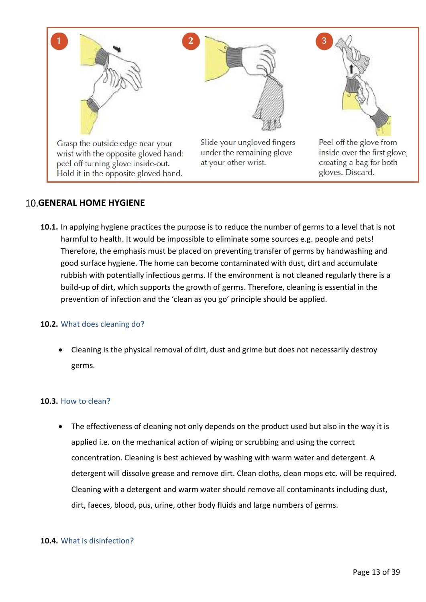

# <span id="page-12-0"></span>**GENERAL HOME HYGIENE**

**10.1.** In applying hygiene practices the purpose is to reduce the number of germs to a level that is not harmful to health. It would be impossible to eliminate some sources e.g. people and pets! Therefore, the emphasis must be placed on preventing transfer of germs by handwashing and good surface hygiene. The home can become contaminated with dust, dirt and accumulate rubbish with potentially infectious germs. If the environment is not cleaned regularly there is a build-up of dirt, which supports the growth of germs. Therefore, cleaning is essential in the prevention of infection and the 'clean as you go' principle should be applied.

#### **10.2.** What does cleaning do?

• Cleaning is the physical removal of dirt, dust and grime but does not necessarily destroy germs.

#### **10.3.** How to clean?

• The effectiveness of cleaning not only depends on the product used but also in the way it is applied i.e. on the mechanical action of wiping or scrubbing and using the correct concentration. Cleaning is best achieved by washing with warm water and detergent. A detergent will dissolve grease and remove dirt. Clean cloths, clean mops etc. will be required. Cleaning with a detergent and warm water should remove all contaminants including dust, dirt, faeces, blood, pus, urine, other body fluids and large numbers of germs.

#### **10.4.** What is disinfection?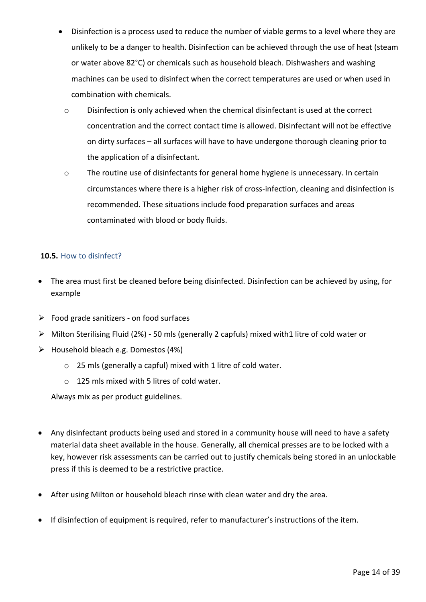- Disinfection is a process used to reduce the number of viable germs to a level where they are unlikely to be a danger to health. Disinfection can be achieved through the use of heat (steam or water above 82°C) or chemicals such as household bleach. Dishwashers and washing machines can be used to disinfect when the correct temperatures are used or when used in combination with chemicals.
	- o Disinfection is only achieved when the chemical disinfectant is used at the correct concentration and the correct contact time is allowed. Disinfectant will not be effective on dirty surfaces – all surfaces will have to have undergone thorough cleaning prior to the application of a disinfectant.
	- o The routine use of disinfectants for general home hygiene is unnecessary. In certain circumstances where there is a higher risk of cross-infection, cleaning and disinfection is recommended. These situations include food preparation surfaces and areas contaminated with blood or body fluids.

#### **10.5.** How to disinfect?

- The area must first be cleaned before being disinfected. Disinfection can be achieved by using, for example
- $\triangleright$  Food grade sanitizers on food surfaces
- ➢ Milton Sterilising Fluid (2%) 50 mls (generally 2 capfuls) mixed with1 litre of cold water or
- ➢ Household bleach e.g. Domestos (4%)
	- o 25 mls (generally a capful) mixed with 1 litre of cold water.
	- $\circ$  125 mls mixed with 5 litres of cold water.

Always mix as per product guidelines.

- Any disinfectant products being used and stored in a community house will need to have a safety material data sheet available in the house. Generally, all chemical presses are to be locked with a key, however risk assessments can be carried out to justify chemicals being stored in an unlockable press if this is deemed to be a restrictive practice.
- After using Milton or household bleach rinse with clean water and dry the area.
- If disinfection of equipment is required, refer to manufacturer's instructions of the item.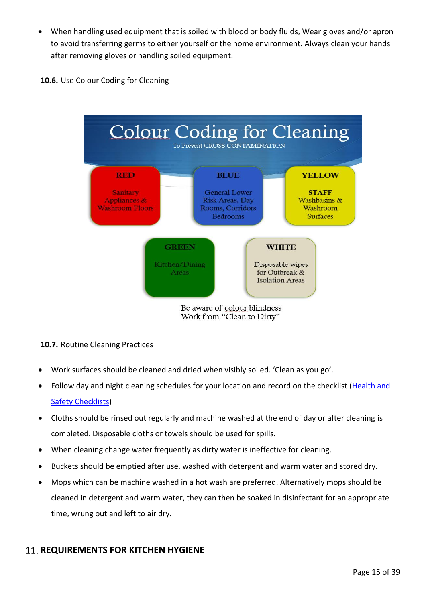- When handling used equipment that is soiled with blood or body fluids, Wear gloves and/or apron to avoid transferring germs to either yourself or the home environment. Always clean your hands after removing gloves or handling soiled equipment.
- **10.6.** Use Colour Coding for Cleaning



#### **10.7.** Routine Cleaning Practices

- Work surfaces should be cleaned and dried when visibly soiled. 'Clean as you go'.
- Follow day and night cleaning schedules for your location and record on the checklist [\(Health and](file://///10.0.0.10/smt/Health%20&%20Safety/Health%20and%20Safety%20Checklists)  **[Safety Checklists\)](file://///10.0.0.10/smt/Health%20&%20Safety/Health%20and%20Safety%20Checklists)**
- Cloths should be rinsed out regularly and machine washed at the end of day or after cleaning is completed. Disposable cloths or towels should be used for spills.
- When cleaning change water frequently as dirty water is ineffective for cleaning.
- Buckets should be emptied after use, washed with detergent and warm water and stored dry.
- Mops which can be machine washed in a hot wash are preferred. Alternatively mops should be cleaned in detergent and warm water, they can then be soaked in disinfectant for an appropriate time, wrung out and left to air dry.

# <span id="page-14-0"></span>**11. REQUIREMENTS FOR KITCHEN HYGIENE**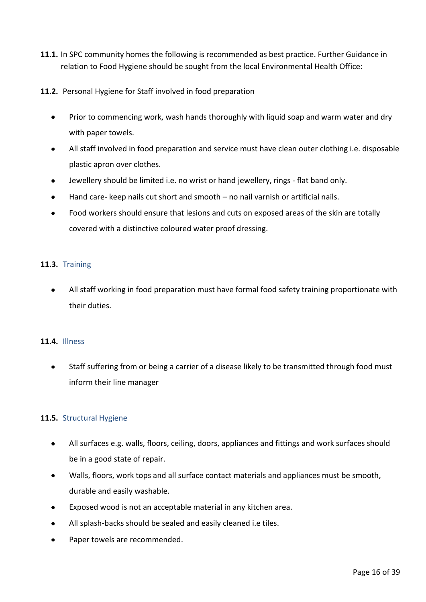- **11.1.** In SPC community homes the following is recommended as best practice. Further Guidance in relation to Food Hygiene should be sought from the local Environmental Health Office:
- **11.2.** Personal Hygiene for Staff involved in food preparation
	- Prior to commencing work, wash hands thoroughly with liquid soap and warm water and dry with paper towels.
	- All staff involved in food preparation and service must have clean outer clothing i.e. disposable plastic apron over clothes.
	- Jewellery should be limited i.e. no wrist or hand jewellery, rings flat band only.
	- Hand care- keep nails cut short and smooth no nail varnish or artificial nails.
	- Food workers should ensure that lesions and cuts on exposed areas of the skin are totally covered with a distinctive coloured water proof dressing.

#### **11.3.** Training

• All staff working in food preparation must have formal food safety training proportionate with their duties.

#### **11.4.** Illness

• Staff suffering from or being a carrier of a disease likely to be transmitted through food must inform their line manager

#### **11.5.** Structural Hygiene

- All surfaces e.g. walls, floors, ceiling, doors, appliances and fittings and work surfaces should be in a good state of repair.
- Walls, floors, work tops and all surface contact materials and appliances must be smooth, durable and easily washable.
- Exposed wood is not an acceptable material in any kitchen area.
- All splash-backs should be sealed and easily cleaned i.e tiles.
- Paper towels are recommended.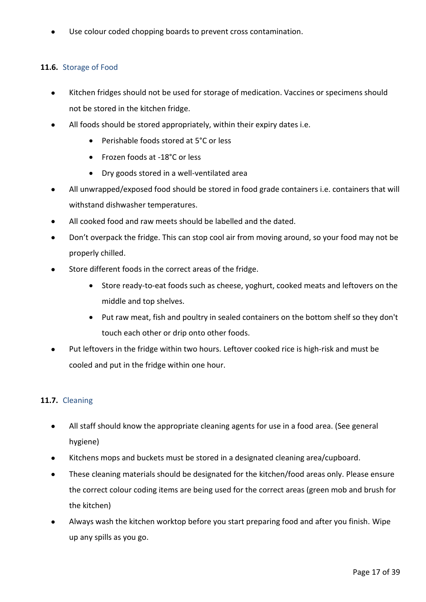Use colour coded chopping boards to prevent cross contamination.

### **11.6.** Storage of Food

- Kitchen fridges should not be used for storage of medication. Vaccines or specimens should not be stored in the kitchen fridge.
- All foods should be stored appropriately, within their expiry dates i.e.
	- Perishable foods stored at 5°C or less
	- Frozen foods at -18°C or less
	- Dry goods stored in a well-ventilated area
- All unwrapped/exposed food should be stored in food grade containers i.e. containers that will withstand dishwasher temperatures.
- All cooked food and raw meets should be labelled and the dated.
- Don't overpack the fridge. This can stop cool air from moving around, so your food may not be properly chilled.
- Store different foods in the correct areas of the fridge.
	- Store ready-to-eat foods such as cheese, yoghurt, cooked meats and leftovers on the middle and top shelves.
	- Put raw meat, fish and poultry in sealed containers on the bottom shelf so they don't touch each other or drip onto other foods.
- Put leftovers in the fridge within two hours. Leftover cooked rice is high-risk and must be cooled and put in the fridge within one hour.

#### **11.7.** Cleaning

- All staff should know the appropriate cleaning agents for use in a food area. (See general hygiene)
- Kitchens mops and buckets must be stored in a designated cleaning area/cupboard.
- These cleaning materials should be designated for the kitchen/food areas only. Please ensure the correct colour coding items are being used for the correct areas (green mob and brush for the kitchen)
- Always wash the kitchen worktop before you start preparing food and after you finish. Wipe up any spills as you go.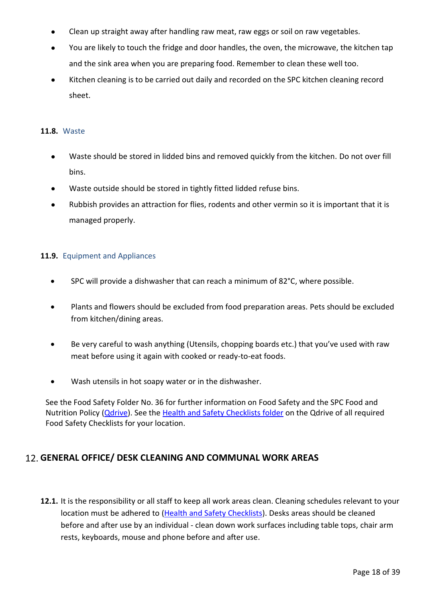- Clean up straight away after handling raw meat, raw eggs or soil on raw vegetables.
- You are likely to touch the fridge and door handles, the oven, the microwave, the kitchen tap and the sink area when you are preparing food. Remember to clean these well too.
- Kitchen cleaning is to be carried out daily and recorded on the SPC kitchen cleaning record sheet.

#### **11.8.** Waste

- Waste should be stored in lidded bins and removed quickly from the kitchen. Do not over fill bins.
- Waste outside should be stored in tightly fitted lidded refuse bins.
- Rubbish provides an attraction for flies, rodents and other vermin so it is important that it is managed properly.

#### **11.9.** Equipment and Appliances

- SPC will provide a dishwasher that can reach a minimum of 82°C, where possible.
- Plants and flowers should be excluded from food preparation areas. Pets should be excluded from kitchen/dining areas.
- Be very careful to wash anything (Utensils, chopping boards etc.) that you've used with raw meat before using it again with cooked or ready-to-eat foods.
- Wash utensils in hot soapy water or in the dishwasher.

See the Food Safety Folder No. 36 for further information on Food Safety and the SPC Food and Nutrition Policy [\(Qdrive\)](file://///10.0.0.10/smt/Policies/1.%20Schedule%205%20Policies). See the [Health and Safety Checklists folder](file://///10.0.0.10/smt/Health%20&%20Safety/Health%20and%20Safety%20Checklists) on the Qdrive of all required Food Safety Checklists for your location.

# <span id="page-17-0"></span>**GENERAL OFFICE/ DESK CLEANING AND COMMUNAL WORK AREAS**

**12.1.** It is the responsibility or all staff to keep all work areas clean. Cleaning schedules relevant to your location must be adhered to [\(Health and Safety Checklists\)](file://///10.0.0.10/smt/Health%20&%20Safety/Health%20and%20Safety%20Checklists). Desks areas should be cleaned before and after use by an individual - clean down work surfaces including table tops, chair arm rests, keyboards, mouse and phone before and after use.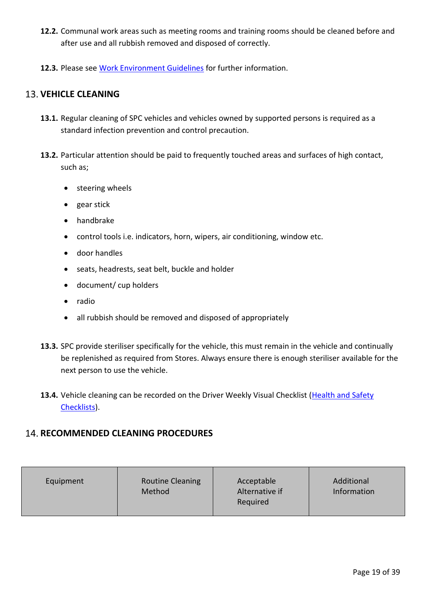- **12.2.** Communal work areas such as meeting rooms and training rooms should be cleaned before and after use and all rubbish removed and disposed of correctly.
- **12.3.** Please see [Work Environment Guidelines](file://///10.0.0.10/smt/Coronavirus/Work%20Environment%20Guidelines) for further information.

### <span id="page-18-0"></span>**13. VEHICLE CLEANING**

- **13.1.** Regular cleaning of SPC vehicles and vehicles owned by supported persons is required as a standard infection prevention and control precaution.
- **13.2.** Particular attention should be paid to frequently touched areas and surfaces of high contact, such as;
	- steering wheels
	- gear stick
	- handbrake
	- control tools i.e. indicators, horn, wipers, air conditioning, window etc.
	- door handles
	- seats, headrests, seat belt, buckle and holder
	- document/ cup holders
	- radio
	- all rubbish should be removed and disposed of appropriately
- **13.3.** SPC provide steriliser specifically for the vehicle, this must remain in the vehicle and continually be replenished as required from Stores. Always ensure there is enough steriliser available for the next person to use the vehicle.
- 13.4. Vehicle cleaning can be recorded on the Driver Weekly Visual Checklist (Health and Safety [Checklists\)](file://///10.0.0.10/smt/Health%20&%20Safety/Health%20and%20Safety%20Checklists).

### <span id="page-18-1"></span>**14. RECOMMENDED CLEANING PROCEDURES**

| <b>Routine Cleaning</b><br>Equipment<br>Method | Acceptable<br>Alternative if<br>Required | Additional<br>Information |
|------------------------------------------------|------------------------------------------|---------------------------|
|------------------------------------------------|------------------------------------------|---------------------------|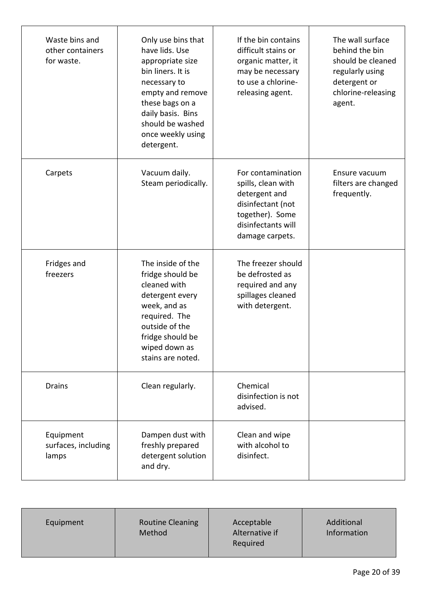| Waste bins and<br>other containers<br>for waste. | Only use bins that<br>have lids. Use<br>appropriate size<br>bin liners. It is<br>necessary to<br>empty and remove<br>these bags on a<br>daily basis. Bins<br>should be washed<br>once weekly using<br>detergent. | If the bin contains<br>difficult stains or<br>organic matter, it<br>may be necessary<br>to use a chlorine-<br>releasing agent.            | The wall surface<br>behind the bin<br>should be cleaned<br>regularly using<br>detergent or<br>chlorine-releasing<br>agent. |
|--------------------------------------------------|------------------------------------------------------------------------------------------------------------------------------------------------------------------------------------------------------------------|-------------------------------------------------------------------------------------------------------------------------------------------|----------------------------------------------------------------------------------------------------------------------------|
| Carpets                                          | Vacuum daily.<br>Steam periodically.                                                                                                                                                                             | For contamination<br>spills, clean with<br>detergent and<br>disinfectant (not<br>together). Some<br>disinfectants will<br>damage carpets. | Ensure vacuum<br>filters are changed<br>frequently.                                                                        |
| Fridges and<br>freezers                          | The inside of the<br>fridge should be<br>cleaned with<br>detergent every<br>week, and as<br>required. The<br>outside of the<br>fridge should be<br>wiped down as<br>stains are noted.                            | The freezer should<br>be defrosted as<br>required and any<br>spillages cleaned<br>with detergent.                                         |                                                                                                                            |
| <b>Drains</b>                                    | Clean regularly.                                                                                                                                                                                                 | Chemical<br>disinfection is not<br>advised.                                                                                               |                                                                                                                            |
| Equipment<br>surfaces, including<br>lamps        | Dampen dust with<br>freshly prepared<br>detergent solution<br>and dry.                                                                                                                                           | Clean and wipe<br>with alcohol to<br>disinfect.                                                                                           |                                                                                                                            |

| Equipment | <b>Routine Cleaning</b><br>Method | Acceptable<br>Alternative if<br>Required | Additional<br>Information |
|-----------|-----------------------------------|------------------------------------------|---------------------------|
|           |                                   |                                          |                           |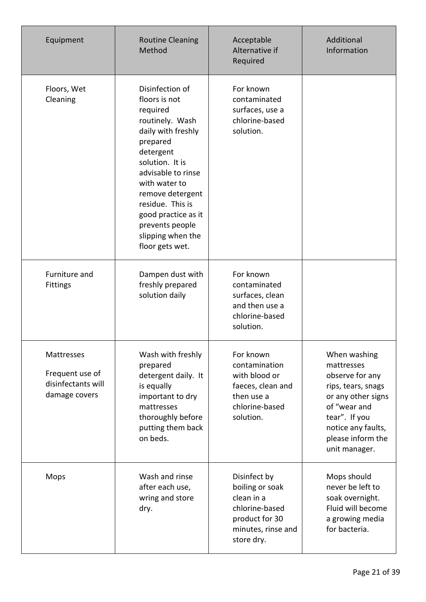| Equipment                                                            | <b>Routine Cleaning</b><br>Method                                                                                                                                                                                                                                                                  | Acceptable<br>Alternative if<br>Required                                                                              | Additional<br>Information                                                                                                                                                              |
|----------------------------------------------------------------------|----------------------------------------------------------------------------------------------------------------------------------------------------------------------------------------------------------------------------------------------------------------------------------------------------|-----------------------------------------------------------------------------------------------------------------------|----------------------------------------------------------------------------------------------------------------------------------------------------------------------------------------|
| Floors, Wet<br>Cleaning                                              | Disinfection of<br>floors is not<br>required<br>routinely. Wash<br>daily with freshly<br>prepared<br>detergent<br>solution. It is<br>advisable to rinse<br>with water to<br>remove detergent<br>residue. This is<br>good practice as it<br>prevents people<br>slipping when the<br>floor gets wet. | For known<br>contaminated<br>surfaces, use a<br>chlorine-based<br>solution.                                           |                                                                                                                                                                                        |
| Furniture and<br><b>Fittings</b>                                     | Dampen dust with<br>freshly prepared<br>solution daily                                                                                                                                                                                                                                             | For known<br>contaminated<br>surfaces, clean<br>and then use a<br>chlorine-based<br>solution.                         |                                                                                                                                                                                        |
| Mattresses<br>Frequent use of<br>disinfectants will<br>damage covers | Wash with freshly<br>prepared<br>detergent daily. It<br>is equally<br>important to dry<br>mattresses<br>thoroughly before<br>putting them back<br>on beds.                                                                                                                                         | For known<br>contamination<br>with blood or<br>faeces, clean and<br>then use a<br>chlorine-based<br>solution.         | When washing<br>mattresses<br>observe for any<br>rips, tears, snags<br>or any other signs<br>of "wear and<br>tear". If you<br>notice any faults,<br>please inform the<br>unit manager. |
| Mops                                                                 | Wash and rinse<br>after each use,<br>wring and store<br>dry.                                                                                                                                                                                                                                       | Disinfect by<br>boiling or soak<br>clean in a<br>chlorine-based<br>product for 30<br>minutes, rinse and<br>store dry. | Mops should<br>never be left to<br>soak overnight.<br>Fluid will become<br>a growing media<br>for bacteria.                                                                            |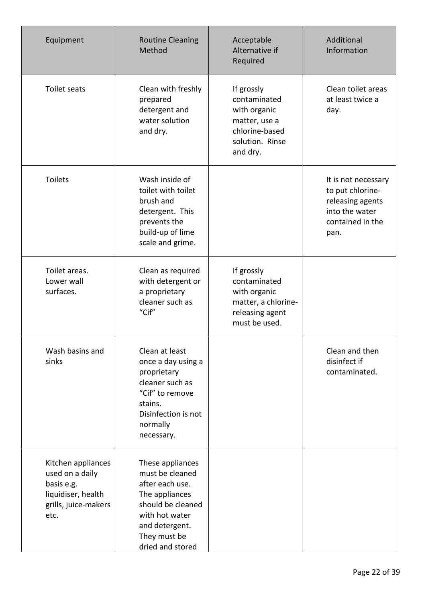| Equipment                                                                                                 | <b>Routine Cleaning</b><br>Method                                                                                                                                     | Acceptable<br>Alternative if<br>Required                                                                     | Additional<br>Information                                                                                 |
|-----------------------------------------------------------------------------------------------------------|-----------------------------------------------------------------------------------------------------------------------------------------------------------------------|--------------------------------------------------------------------------------------------------------------|-----------------------------------------------------------------------------------------------------------|
| Toilet seats                                                                                              | Clean with freshly<br>prepared<br>detergent and<br>water solution<br>and dry.                                                                                         | If grossly<br>contaminated<br>with organic<br>matter, use a<br>chlorine-based<br>solution. Rinse<br>and dry. | Clean toilet areas<br>at least twice a<br>day.                                                            |
| <b>Toilets</b>                                                                                            | Wash inside of<br>toilet with toilet<br>brush and<br>detergent. This<br>prevents the<br>build-up of lime<br>scale and grime.                                          |                                                                                                              | It is not necessary<br>to put chlorine-<br>releasing agents<br>into the water<br>contained in the<br>pan. |
| Toilet areas.<br>Lower wall<br>surfaces.                                                                  | Clean as required<br>with detergent or<br>a proprietary<br>cleaner such as<br>"Cif"                                                                                   | If grossly<br>contaminated<br>with organic<br>matter, a chlorine-<br>releasing agent<br>must be used.        |                                                                                                           |
| Wash basins and<br>sinks                                                                                  | Clean at least<br>once a day using a<br>proprietary<br>cleaner such as<br>"Cif" to remove<br>stains.<br>Disinfection is not<br>normally<br>necessary.                 |                                                                                                              | Clean and then<br>disinfect if<br>contaminated.                                                           |
| Kitchen appliances<br>used on a daily<br>basis e.g.<br>liquidiser, health<br>grills, juice-makers<br>etc. | These appliances<br>must be cleaned<br>after each use.<br>The appliances<br>should be cleaned<br>with hot water<br>and detergent.<br>They must be<br>dried and stored |                                                                                                              |                                                                                                           |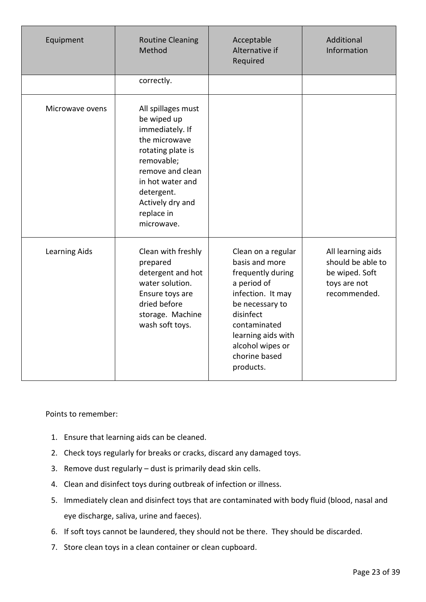| Equipment       | <b>Routine Cleaning</b><br>Method                                                                                                                                                                              | Acceptable<br>Alternative if<br>Required                                                                                                                                                                              | Additional<br>Information                                                                |
|-----------------|----------------------------------------------------------------------------------------------------------------------------------------------------------------------------------------------------------------|-----------------------------------------------------------------------------------------------------------------------------------------------------------------------------------------------------------------------|------------------------------------------------------------------------------------------|
|                 | correctly.                                                                                                                                                                                                     |                                                                                                                                                                                                                       |                                                                                          |
| Microwave ovens | All spillages must<br>be wiped up<br>immediately. If<br>the microwave<br>rotating plate is<br>removable;<br>remove and clean<br>in hot water and<br>detergent.<br>Actively dry and<br>replace in<br>microwave. |                                                                                                                                                                                                                       |                                                                                          |
| Learning Aids   | Clean with freshly<br>prepared<br>detergent and hot<br>water solution.<br>Ensure toys are<br>dried before<br>storage. Machine<br>wash soft toys.                                                               | Clean on a regular<br>basis and more<br>frequently during<br>a period of<br>infection. It may<br>be necessary to<br>disinfect<br>contaminated<br>learning aids with<br>alcohol wipes or<br>chorine based<br>products. | All learning aids<br>should be able to<br>be wiped. Soft<br>toys are not<br>recommended. |

Points to remember:

- 1. Ensure that learning aids can be cleaned.
- 2. Check toys regularly for breaks or cracks, discard any damaged toys.
- 3. Remove dust regularly dust is primarily dead skin cells.
- 4. Clean and disinfect toys during outbreak of infection or illness.
- 5. Immediately clean and disinfect toys that are contaminated with body fluid (blood, nasal and eye discharge, saliva, urine and faeces).
- 6. If soft toys cannot be laundered, they should not be there. They should be discarded.
- 7. Store clean toys in a clean container or clean cupboard.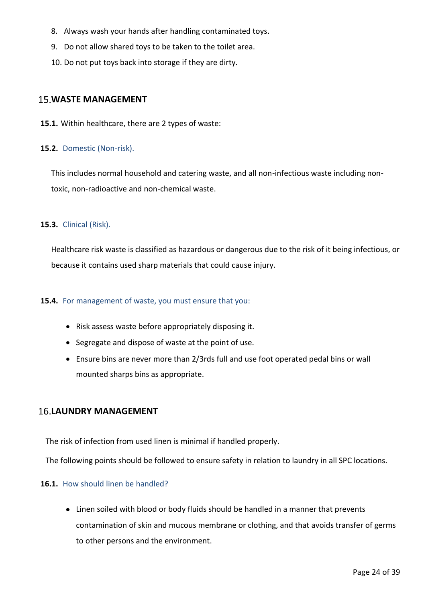- 8. Always wash your hands after handling contaminated toys.
- 9. Do not allow shared toys to be taken to the toilet area.
- 10. Do not put toys back into storage if they are dirty.

### <span id="page-23-0"></span>**15. WASTE MANAGEMENT**

**15.1.** Within healthcare, there are 2 types of waste:

#### **15.2.** Domestic (Non-risk).

This includes normal household and catering waste, and all non-infectious waste including nontoxic, non-radioactive and non-chemical waste.

#### **15.3.** Clinical (Risk).

Healthcare risk waste is classified as hazardous or dangerous due to the risk of it being infectious, or because it contains used sharp materials that could cause injury.

#### **15.4.** For management of waste, you must ensure that you:

- Risk assess waste before appropriately disposing it.
- Segregate and dispose of waste at the point of use.
- Ensure bins are never more than 2/3rds full and use foot operated pedal bins or wall mounted sharps bins as appropriate.

### <span id="page-23-1"></span>**LAUNDRY MANAGEMENT**

The risk of infection from used linen is minimal if handled properly.

The following points should be followed to ensure safety in relation to laundry in all SPC locations.

#### **16.1.** How should linen be handled?

• Linen soiled with blood or body fluids should be handled in a manner that prevents contamination of skin and mucous membrane or clothing, and that avoids transfer of germs to other persons and the environment.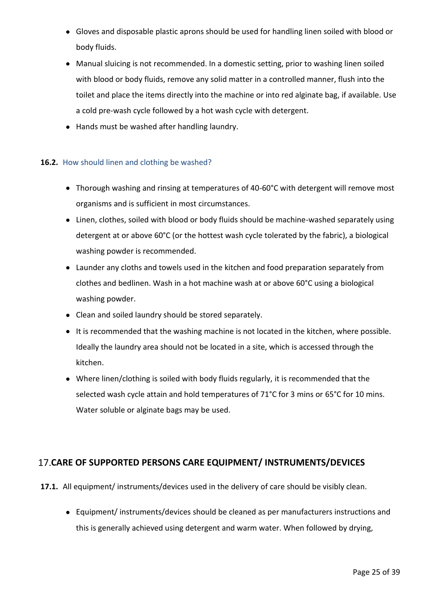- Gloves and disposable plastic aprons should be used for handling linen soiled with blood or body fluids.
- Manual sluicing is not recommended. In a domestic setting, prior to washing linen soiled with blood or body fluids, remove any solid matter in a controlled manner, flush into the toilet and place the items directly into the machine or into red alginate bag, if available. Use a cold pre-wash cycle followed by a hot wash cycle with detergent.
- Hands must be washed after handling laundry.

#### **16.2.** How should linen and clothing be washed?

- Thorough washing and rinsing at temperatures of 40-60°C with detergent will remove most organisms and is sufficient in most circumstances.
- Linen, clothes, soiled with blood or body fluids should be machine-washed separately using detergent at or above 60°C (or the hottest wash cycle tolerated by the fabric), a biological washing powder is recommended.
- Launder any cloths and towels used in the kitchen and food preparation separately from clothes and bedlinen. Wash in a hot machine wash at or above 60°C using a biological washing powder.
- Clean and soiled laundry should be stored separately.
- It is recommended that the washing machine is not located in the kitchen, where possible. Ideally the laundry area should not be located in a site, which is accessed through the kitchen.
- Where linen/clothing is soiled with body fluids regularly, it is recommended that the selected wash cycle attain and hold temperatures of 71°C for 3 mins or 65°C for 10 mins. Water soluble or alginate bags may be used.

### <span id="page-24-0"></span>**CARE OF SUPPORTED PERSONS CARE EQUIPMENT/ INSTRUMENTS/DEVICES**

- **17.1.** All equipment/ instruments/devices used in the delivery of care should be visibly clean.
	- Equipment/ instruments/devices should be cleaned as per manufacturers instructions and this is generally achieved using detergent and warm water. When followed by drying,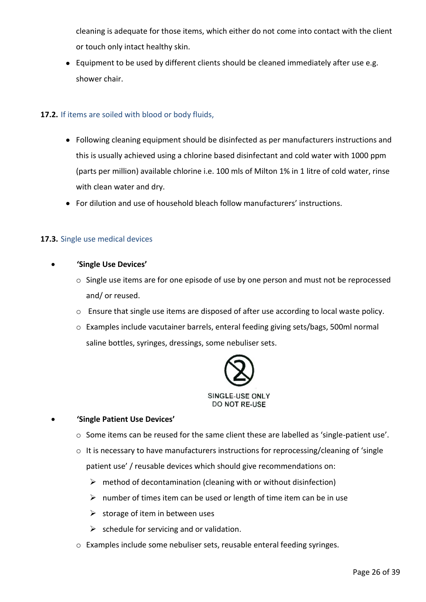cleaning is adequate for those items, which either do not come into contact with the client or touch only intact healthy skin.

• Equipment to be used by different clients should be cleaned immediately after use e.g. shower chair.

### **17.2.** If items are soiled with blood or body fluids,

- Following cleaning equipment should be disinfected as per manufacturers instructions and this is usually achieved using a chlorine based disinfectant and cold water with 1000 ppm (parts per million) available chlorine i.e. 100 mls of Milton 1% in 1 litre of cold water, rinse with clean water and dry.
- For dilution and use of household bleach follow manufacturers' instructions.

### **17.3.** Single use medical devices

- **'Single Use Devices'**
	- o Single use items are for one episode of use by one person and must not be reprocessed and/ or reused.
	- o Ensure that single use items are disposed of after use according to local waste policy.
	- o Examples include vacutainer barrels, enteral feeding giving sets/bags, 500ml normal saline bottles, syringes, dressings, some nebuliser sets.



#### • **'Single Patient Use Devices'**

- $\circ$  Some items can be reused for the same client these are labelled as 'single-patient use'.
- o It is necessary to have manufacturers instructions for reprocessing/cleaning of 'single patient use' / reusable devices which should give recommendations on:
	- $\triangleright$  method of decontamination (cleaning with or without disinfection)
	- $\triangleright$  number of times item can be used or length of time item can be in use
	- $\triangleright$  storage of item in between uses
	- $\triangleright$  schedule for servicing and or validation.
- o Examples include some nebuliser sets, reusable enteral feeding syringes.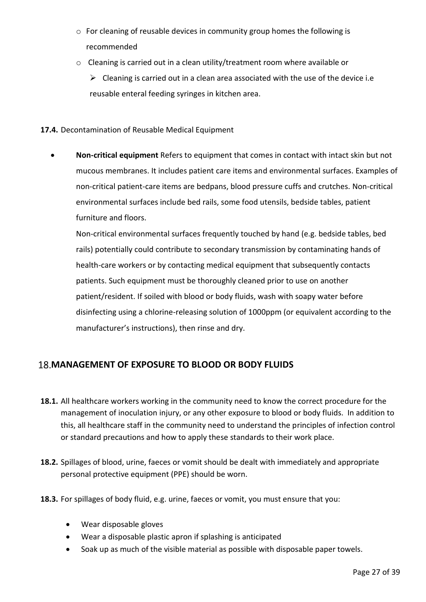- o For cleaning of reusable devices in community group homes the following is recommended
- o Cleaning is carried out in a clean utility/treatment room where available or

 $\triangleright$  Cleaning is carried out in a clean area associated with the use of the device i.e reusable enteral feeding syringes in kitchen area.

### **17.4.** Decontamination of Reusable Medical Equipment

• **Non-critical equipment** Refers to equipment that comes in contact with intact skin but not mucous membranes. It includes patient care items and environmental surfaces. Examples of non-critical patient-care items are bedpans, blood pressure cuffs and crutches. Non-critical environmental surfaces include bed rails, some food utensils, bedside tables, patient furniture and floors.

Non-critical environmental surfaces frequently touched by hand (e.g. bedside tables, bed rails) potentially could contribute to secondary transmission by contaminating hands of health-care workers or by contacting medical equipment that subsequently contacts patients. Such equipment must be thoroughly cleaned prior to use on another patient/resident. If soiled with blood or body fluids, wash with soapy water before disinfecting using a chlorine-releasing solution of 1000ppm (or equivalent according to the manufacturer's instructions), then rinse and dry.

# <span id="page-26-0"></span>**MANAGEMENT OF EXPOSURE TO BLOOD OR BODY FLUIDS**

- **18.1.** All healthcare workers working in the community need to know the correct procedure for the management of inoculation injury, or any other exposure to blood or body fluids. In addition to this, all healthcare staff in the community need to understand the principles of infection control or standard precautions and how to apply these standards to their work place.
- **18.2.** Spillages of blood, urine, faeces or vomit should be dealt with immediately and appropriate personal protective equipment (PPE) should be worn.
- **18.3.** For spillages of body fluid, e.g. urine, faeces or vomit, you must ensure that you:
	- Wear disposable gloves
	- Wear a disposable plastic apron if splashing is anticipated
	- Soak up as much of the visible material as possible with disposable paper towels.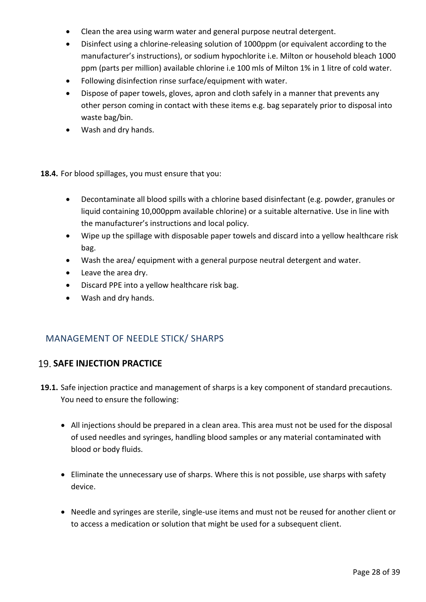- Clean the area using warm water and general purpose neutral detergent.
- Disinfect using a chlorine-releasing solution of 1000ppm (or equivalent according to the manufacturer's instructions), or sodium hypochlorite i.e. Milton or household bleach 1000 ppm (parts per million) available chlorine i.e 100 mls of Milton 1% in 1 litre of cold water.
- Following disinfection rinse surface/equipment with water.
- Dispose of paper towels, gloves, apron and cloth safely in a manner that prevents any other person coming in contact with these items e.g. bag separately prior to disposal into waste bag/bin.
- Wash and dry hands.
- **18.4.** For blood spillages, you must ensure that you:
	- Decontaminate all blood spills with a chlorine based disinfectant (e.g. powder, granules or liquid containing 10,000ppm available chlorine) or a suitable alternative. Use in line with the manufacturer's instructions and local policy.
	- Wipe up the spillage with disposable paper towels and discard into a yellow healthcare risk bag.
	- Wash the area/ equipment with a general purpose neutral detergent and water.
	- Leave the area dry.
	- Discard PPE into a yellow healthcare risk bag.
	- Wash and dry hands.

# MANAGEMENT OF NEEDLE STICK/ SHARPS

### <span id="page-27-0"></span>**19. SAFE INJECTION PRACTICE**

- **19.1.** Safe injection practice and management of sharps is a key component of standard precautions. You need to ensure the following:
	- All injections should be prepared in a clean area. This area must not be used for the disposal of used needles and syringes, handling blood samples or any material contaminated with blood or body fluids.
	- Eliminate the unnecessary use of sharps. Where this is not possible, use sharps with safety device.
	- Needle and syringes are sterile, single-use items and must not be reused for another client or to access a medication or solution that might be used for a subsequent client.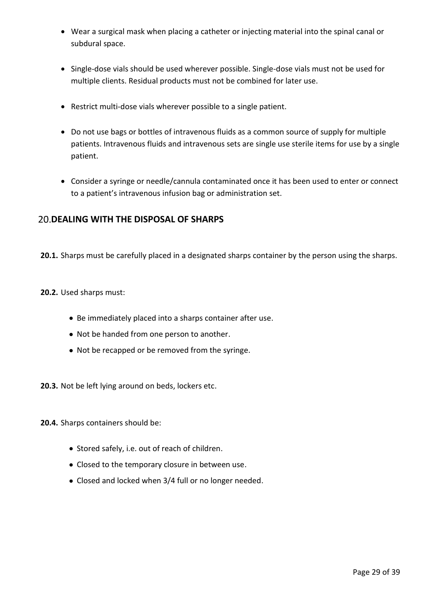- Wear a surgical mask when placing a catheter or injecting material into the spinal canal or subdural space.
- Single-dose vials should be used wherever possible. Single-dose vials must not be used for multiple clients. Residual products must not be combined for later use.
- Restrict multi-dose vials wherever possible to a single patient.
- Do not use bags or bottles of intravenous fluids as a common source of supply for multiple patients. Intravenous fluids and intravenous sets are single use sterile items for use by a single patient.
- Consider a syringe or needle/cannula contaminated once it has been used to enter or connect to a patient's intravenous infusion bag or administration set.

### <span id="page-28-0"></span>**20. DEALING WITH THE DISPOSAL OF SHARPS**

**20.1.** Sharps must be carefully placed in a designated sharps container by the person using the sharps.

#### **20.2.** Used sharps must:

- Be immediately placed into a sharps container after use.
- Not be handed from one person to another.
- Not be recapped or be removed from the syringe.

**20.3.** Not be left lying around on beds, lockers etc.

**20.4.** Sharps containers should be:

- Stored safely, i.e. out of reach of children.
- Closed to the temporary closure in between use.
- Closed and locked when 3/4 full or no longer needed.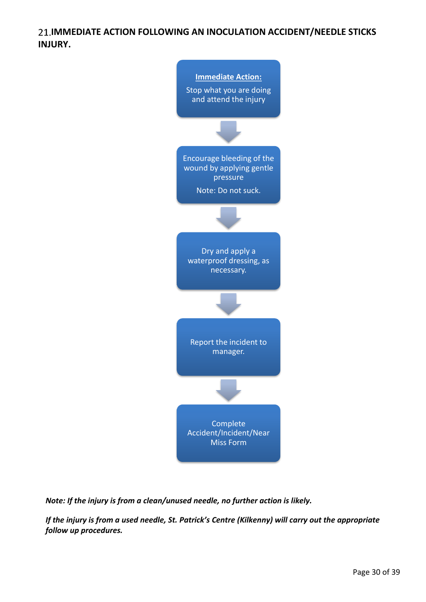# <span id="page-29-0"></span>**21.IMMEDIATE ACTION FOLLOWING AN INOCULATION ACCIDENT/NEEDLE STICKS INJURY.**



*Note: If the injury is from a clean/unused needle, no further action is likely.*

*If the injury is from a used needle, St. Patrick's Centre (Kilkenny) will carry out the appropriate follow up procedures.*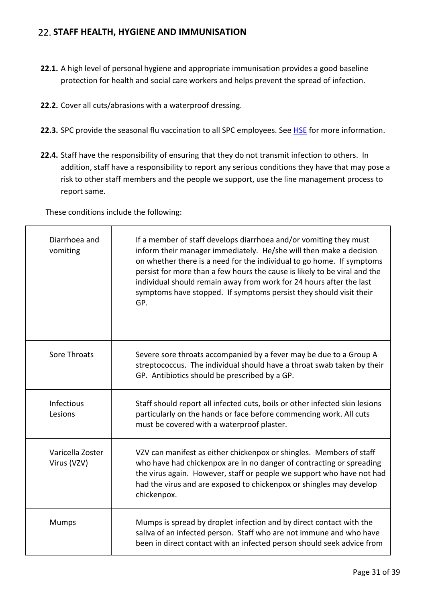### <span id="page-30-0"></span>**STAFF HEALTH, HYGIENE AND IMMUNISATION**

- **22.1.** A high level of personal hygiene and appropriate immunisation provides a good baseline protection for health and social care workers and helps prevent the spread of infection.
- **22.2.** Cover all cuts/abrasions with a waterproof dressing.
- 22.3. SPC provide the seasonal flu vaccination to all SPC employees. See [HSE](https://www.hse.ie/eng/health/immunisation/pubinfo/flu-vaccination/about-the-vaccine/) for more information.
- **22.4.** Staff have the responsibility of ensuring that they do not transmit infection to others. In addition, staff have a responsibility to report any serious conditions they have that may pose a risk to other staff members and the people we support, use the line management process to report same.

These conditions include the following:

| Diarrhoea and<br>vomiting       | If a member of staff develops diarrhoea and/or vomiting they must<br>inform their manager immediately. He/she will then make a decision<br>on whether there is a need for the individual to go home. If symptoms<br>persist for more than a few hours the cause is likely to be viral and the<br>individual should remain away from work for 24 hours after the last<br>symptoms have stopped. If symptoms persist they should visit their<br>GP. |
|---------------------------------|---------------------------------------------------------------------------------------------------------------------------------------------------------------------------------------------------------------------------------------------------------------------------------------------------------------------------------------------------------------------------------------------------------------------------------------------------|
| Sore Throats                    | Severe sore throats accompanied by a fever may be due to a Group A<br>streptococcus. The individual should have a throat swab taken by their<br>GP. Antibiotics should be prescribed by a GP.                                                                                                                                                                                                                                                     |
| Infectious<br>Lesions           | Staff should report all infected cuts, boils or other infected skin lesions<br>particularly on the hands or face before commencing work. All cuts<br>must be covered with a waterproof plaster.                                                                                                                                                                                                                                                   |
| Varicella Zoster<br>Virus (VZV) | VZV can manifest as either chickenpox or shingles. Members of staff<br>who have had chickenpox are in no danger of contracting or spreading<br>the virus again. However, staff or people we support who have not had<br>had the virus and are exposed to chickenpox or shingles may develop<br>chickenpox.                                                                                                                                        |
| <b>Mumps</b>                    | Mumps is spread by droplet infection and by direct contact with the<br>saliva of an infected person. Staff who are not immune and who have<br>been in direct contact with an infected person should seek advice from                                                                                                                                                                                                                              |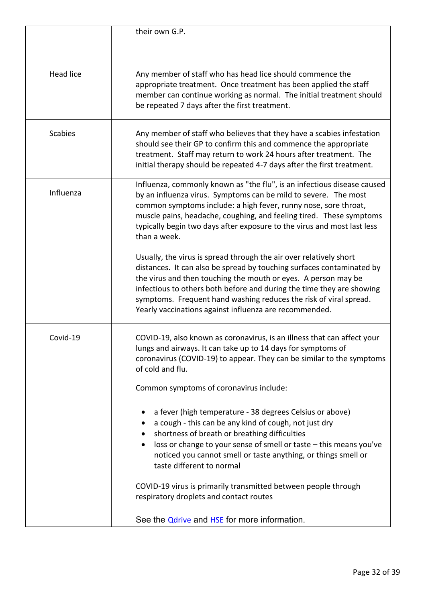|                  | their own G.P.                                                                                                                                                                                                                                                                                                                                                                                                        |
|------------------|-----------------------------------------------------------------------------------------------------------------------------------------------------------------------------------------------------------------------------------------------------------------------------------------------------------------------------------------------------------------------------------------------------------------------|
| <b>Head lice</b> | Any member of staff who has head lice should commence the<br>appropriate treatment. Once treatment has been applied the staff<br>member can continue working as normal. The initial treatment should<br>be repeated 7 days after the first treatment.                                                                                                                                                                 |
| <b>Scabies</b>   | Any member of staff who believes that they have a scabies infestation<br>should see their GP to confirm this and commence the appropriate<br>treatment. Staff may return to work 24 hours after treatment. The<br>initial therapy should be repeated 4-7 days after the first treatment.                                                                                                                              |
| Influenza        | Influenza, commonly known as "the flu", is an infectious disease caused<br>by an influenza virus. Symptoms can be mild to severe. The most<br>common symptoms include: a high fever, runny nose, sore throat,<br>muscle pains, headache, coughing, and feeling tired. These symptoms<br>typically begin two days after exposure to the virus and most last less<br>than a week.                                       |
|                  | Usually, the virus is spread through the air over relatively short<br>distances. It can also be spread by touching surfaces contaminated by<br>the virus and then touching the mouth or eyes. A person may be<br>infectious to others both before and during the time they are showing<br>symptoms. Frequent hand washing reduces the risk of viral spread.<br>Yearly vaccinations against influenza are recommended. |
| Covid-19         | COVID-19, also known as coronavirus, is an illness that can affect your<br>lungs and airways. It can take up to 14 days for symptoms of<br>coronavirus (COVID-19) to appear. They can be similar to the symptoms<br>of cold and flu.                                                                                                                                                                                  |
|                  | Common symptoms of coronavirus include:                                                                                                                                                                                                                                                                                                                                                                               |
|                  | a fever (high temperature - 38 degrees Celsius or above)<br>a cough - this can be any kind of cough, not just dry<br>shortness of breath or breathing difficulties<br>loss or change to your sense of smell or taste - this means you've<br>$\bullet$<br>noticed you cannot smell or taste anything, or things smell or<br>taste different to normal                                                                  |
|                  | COVID-19 virus is primarily transmitted between people through<br>respiratory droplets and contact routes                                                                                                                                                                                                                                                                                                             |
|                  | See the <b>Odrive</b> and HSE for more information.                                                                                                                                                                                                                                                                                                                                                                   |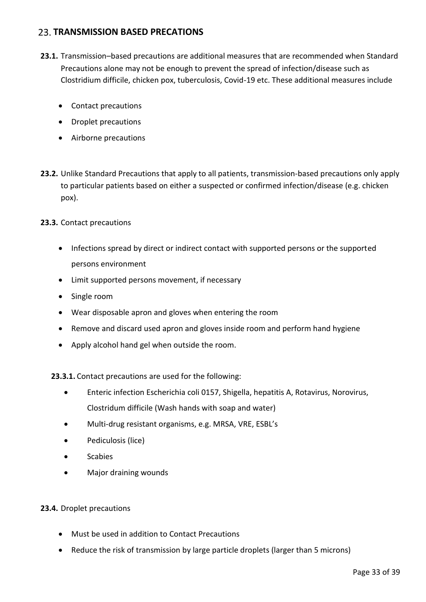### <span id="page-32-0"></span>**23. TRANSMISSION BASED PRECATIONS**

- **23.1.** Transmission–based precautions are additional measures that are recommended when Standard Precautions alone may not be enough to prevent the spread of infection/disease such as Clostridium difficile, chicken pox, tuberculosis, Covid-19 etc. These additional measures include
	- Contact precautions
	- Droplet precautions
	- Airborne precautions
- **23.2.** Unlike Standard Precautions that apply to all patients, transmission-based precautions only apply to particular patients based on either a suspected or confirmed infection/disease (e.g. chicken pox).
- **23.3.** Contact precautions
	- Infections spread by direct or indirect contact with supported persons or the supported persons environment
	- Limit supported persons movement, if necessary
	- Single room
	- Wear disposable apron and gloves when entering the room
	- Remove and discard used apron and gloves inside room and perform hand hygiene
	- Apply alcohol hand gel when outside the room.

**23.3.1.** Contact precautions are used for the following:

- Enteric infection Escherichia coli 0157, Shigella, hepatitis A, Rotavirus, Norovirus, Clostridum difficile (Wash hands with soap and water)
- Multi-drug resistant organisms, e.g. MRSA, VRE, ESBL's
- Pediculosis (lice)
- Scabies
- Major draining wounds

#### **23.4.** Droplet precautions

- Must be used in addition to Contact Precautions
- Reduce the risk of transmission by large particle droplets (larger than 5 microns)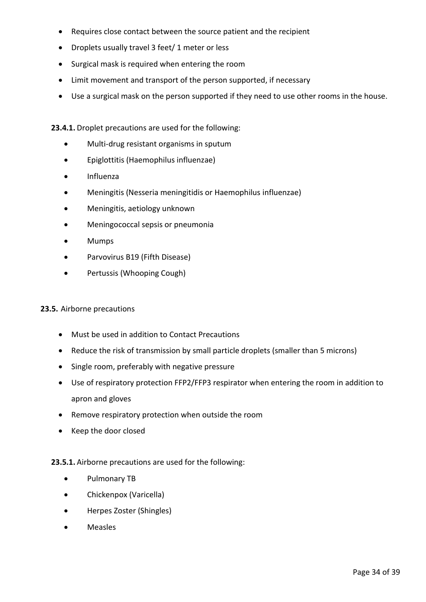- Requires close contact between the source patient and the recipient
- Droplets usually travel 3 feet/ 1 meter or less
- Surgical mask is required when entering the room
- Limit movement and transport of the person supported, if necessary
- Use a surgical mask on the person supported if they need to use other rooms in the house.

#### **23.4.1.** Droplet precautions are used for the following:

- Multi-drug resistant organisms in sputum
- Epiglottitis (Haemophilus influenzae)
- Influenza
- Meningitis (Nesseria meningitidis or Haemophilus influenzae)
- Meningitis, aetiology unknown
- Meningococcal sepsis or pneumonia
- Mumps
- Parvovirus B19 (Fifth Disease)
- Pertussis (Whooping Cough)

#### **23.5.** Airborne precautions

- Must be used in addition to Contact Precautions
- Reduce the risk of transmission by small particle droplets (smaller than 5 microns)
- Single room, preferably with negative pressure
- Use of respiratory protection FFP2/FFP3 respirator when entering the room in addition to apron and gloves
- Remove respiratory protection when outside the room
- Keep the door closed

#### **23.5.1.** Airborne precautions are used for the following:

- Pulmonary TB
- Chickenpox (Varicella)
- Herpes Zoster (Shingles)
- Measles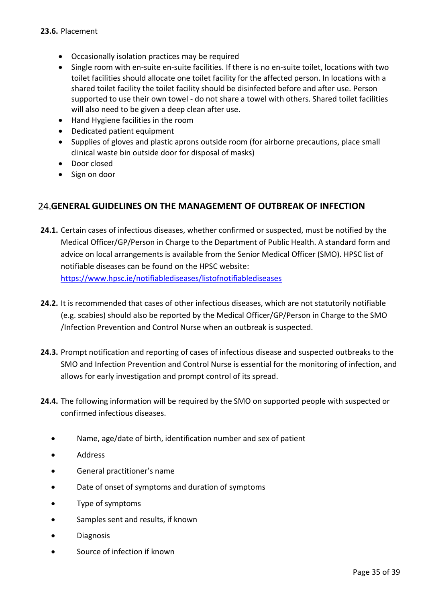- Occasionally isolation practices may be required
- Single room with en-suite en-suite facilities. If there is no en-suite toilet, locations with two toilet facilities should allocate one toilet facility for the affected person. In locations with a shared toilet facility the toilet facility should be disinfected before and after use. Person supported to use their own towel - do not share a towel with others. Shared toilet facilities will also need to be given a deep clean after use.
- Hand Hygiene facilities in the room
- Dedicated patient equipment
- Supplies of gloves and plastic aprons outside room (for airborne precautions, place small clinical waste bin outside door for disposal of masks)
- Door closed
- Sign on door

### <span id="page-34-0"></span>**GENERAL GUIDELINES ON THE MANAGEMENT OF OUTBREAK OF INFECTION**

- **24.1.** Certain cases of infectious diseases, whether confirmed or suspected, must be notified by the Medical Officer/GP/Person in Charge to the Department of Public Health. A standard form and advice on local arrangements is available from the Senior Medical Officer (SMO). HPSC list of notifiable diseases can be found on the HPSC website: <https://www.hpsc.ie/notifiablediseases/listofnotifiablediseases>
- **24.2.** It is recommended that cases of other infectious diseases, which are not statutorily notifiable (e.g. scabies) should also be reported by the Medical Officer/GP/Person in Charge to the SMO /Infection Prevention and Control Nurse when an outbreak is suspected.
- **24.3.** Prompt notification and reporting of cases of infectious disease and suspected outbreaks to the SMO and Infection Prevention and Control Nurse is essential for the monitoring of infection, and allows for early investigation and prompt control of its spread.
- **24.4.** The following information will be required by the SMO on supported people with suspected or confirmed infectious diseases.
	- Name, age/date of birth, identification number and sex of patient
	- Address
	- General practitioner's name
	- Date of onset of symptoms and duration of symptoms
	- Type of symptoms
	- Samples sent and results, if known
	- Diagnosis
	- Source of infection if known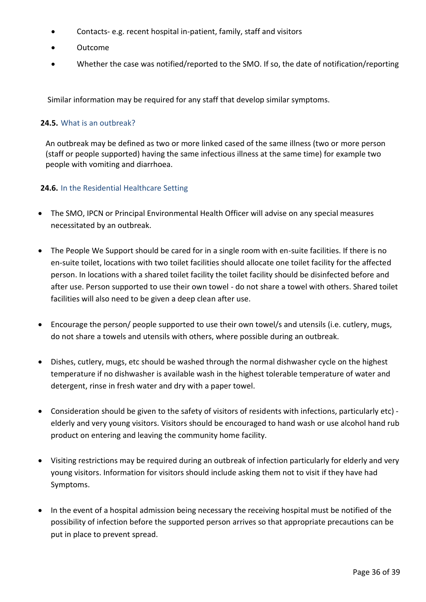- Contacts- e.g. recent hospital in-patient, family, staff and visitors
- Outcome
- Whether the case was notified/reported to the SMO. If so, the date of notification/reporting

Similar information may be required for any staff that develop similar symptoms.

#### **24.5.** What is an outbreak?

An outbreak may be defined as two or more linked cased of the same illness (two or more person (staff or people supported) having the same infectious illness at the same time) for example two people with vomiting and diarrhoea.

#### **24.6.** In the Residential Healthcare Setting

- The SMO, IPCN or Principal Environmental Health Officer will advise on any special measures necessitated by an outbreak.
- The People We Support should be cared for in a single room with en-suite facilities. If there is no en-suite toilet, locations with two toilet facilities should allocate one toilet facility for the affected person. In locations with a shared toilet facility the toilet facility should be disinfected before and after use. Person supported to use their own towel - do not share a towel with others. Shared toilet facilities will also need to be given a deep clean after use.
- Encourage the person/ people supported to use their own towel/s and utensils (i.e. cutlery, mugs, do not share a towels and utensils with others, where possible during an outbreak.
- Dishes, cutlery, mugs, etc should be washed through the normal dishwasher cycle on the highest temperature if no dishwasher is available wash in the highest tolerable temperature of water and detergent, rinse in fresh water and dry with a paper towel.
- Consideration should be given to the safety of visitors of residents with infections, particularly etc) elderly and very young visitors. Visitors should be encouraged to hand wash or use alcohol hand rub product on entering and leaving the community home facility.
- Visiting restrictions may be required during an outbreak of infection particularly for elderly and very young visitors. Information for visitors should include asking them not to visit if they have had Symptoms.
- In the event of a hospital admission being necessary the receiving hospital must be notified of the possibility of infection before the supported person arrives so that appropriate precautions can be put in place to prevent spread.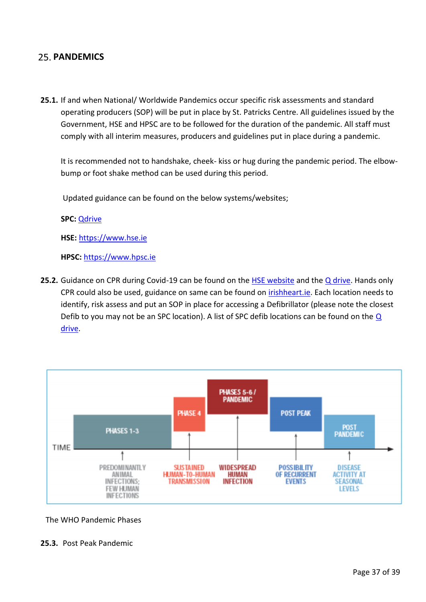# <span id="page-36-0"></span>25. **PANDEMICS**

**25.1.** If and when National/ Worldwide Pandemics occur specific risk assessments and standard operating producers (SOP) will be put in place by St. Patricks Centre. All guidelines issued by the Government, HSE and HPSC are to be followed for the duration of the pandemic. All staff must comply with all interim measures, producers and guidelines put in place during a pandemic.

It is recommended not to handshake, cheek- kiss or hug during the pandemic period. The elbowbump or foot shake method can be used during this period.

Updated guidance can be found on the below systems/websites;

**SPC:** [Qdrive](file://///10.0.0.10/smt/Coronavirus)

**HSE:** [https://www.hse.ie](https://www.hse.ie/) 

**HPSC:** [https://www.hpsc.ie](https://www.hpsc.ie/) 

25.2. Guidance on CPR during Covid-19 can be found on the **HSE website and the Q drive**. Hands only CPR could also be used, guidance on same can be found on *irishheart.ie*. Each location needs to identify, risk assess and put an SOP in place for accessing a Defibrillator (please note the closest Defib to you may not be an SPC location). A list of SPC defib locations can be found on the  $Q$ [drive.](file://///10.0.0.10/smt/Health%20&%20Safety/Location%20of%20SPC%20Defibrillators.docx)



The WHO Pandemic Phases

**25.3.** Post Peak Pandemic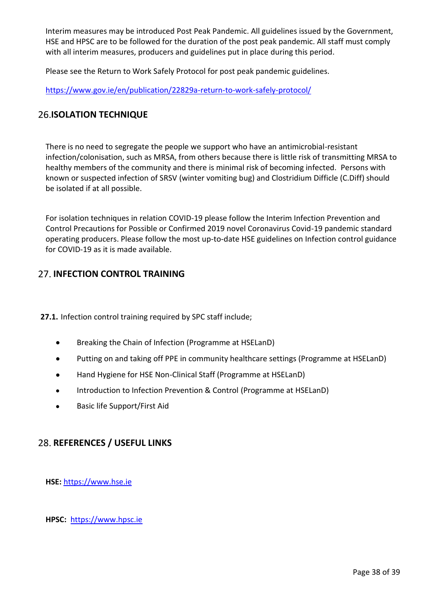Interim measures may be introduced Post Peak Pandemic. All guidelines issued by the Government, HSE and HPSC are to be followed for the duration of the post peak pandemic. All staff must comply with all interim measures, producers and guidelines put in place during this period.

Please see the Return to Work Safely Protocol for post peak pandemic guidelines.

<https://www.gov.ie/en/publication/22829a-return-to-work-safely-protocol/>

# <span id="page-37-0"></span>**26.ISOLATION TECHNIQUE**

There is no need to segregate the people we support who have an antimicrobial-resistant infection/colonisation, such as MRSA, from others because there is little risk of transmitting MRSA to healthy members of the community and there is minimal risk of becoming infected. Persons with known or suspected infection of SRSV (winter vomiting bug) and Clostridium Difficle (C.Diff) should be isolated if at all possible.

For isolation techniques in relation COVID-19 please follow the Interim Infection Prevention and Control Precautions for Possible or Confirmed 2019 novel Coronavirus Covid-19 pandemic standard operating producers. Please follow the most up-to-date HSE guidelines on Infection control guidance for COVID-19 as it is made available.

# <span id="page-37-1"></span>**27. INFECTION CONTROL TRAINING**

**27.1.** Infection control training required by SPC staff include;

- Breaking the Chain of Infection (Programme at HSELanD)
- Putting on and taking off PPE in community healthcare settings (Programme at HSELanD)
- Hand Hygiene for HSE Non-Clinical Staff (Programme at HSELanD)
- Introduction to Infection Prevention & Control (Programme at HSELanD)
- Basic life Support/First Aid

# <span id="page-37-2"></span>**REFERENCES / USEFUL LINKS**

**HSE:** [https://www.hse.ie](https://www.hse.ie/) 

**HPSC:** [https://www.hpsc.ie](https://www.hpsc.ie/)